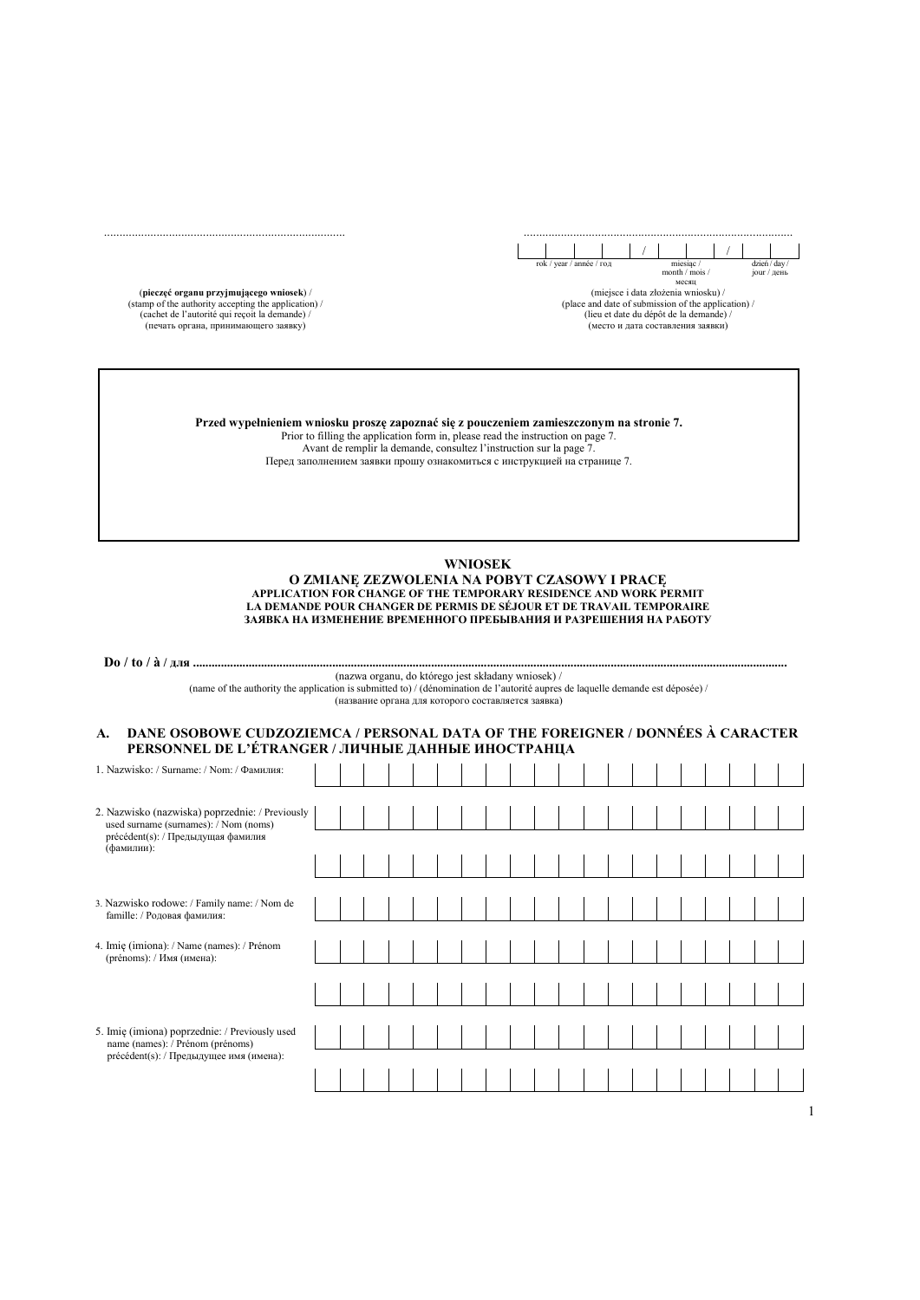

(miejsce i data złożenia wniosku) / (place and date of submission of the application) / (lieu et date du dépôt de la demande) / (место и дата составления заявки)

(**pieczęć organu przyjmującego wniosek**) / (stamp of the authority accepting the application) / (cachet de l'autorité qui reçoit la demande) / (печать органа, принимающего заявку)

.............................................................................. .......................................................................................

**Przed wypełnieniem wniosku proszę zapoznać się z pouczeniem zamieszczonym na stronie 7.**  Prior to filling the application form in, please read the instruction on page 7. Avant de remplir la demande, consultez l'instruction sur la page 7.

Перед заполнением заявки прошу ознакомиться с инструкцией на странице 7.

## **WNIOSEK**

**O ZMIANĘ ZEZWOLENIA NA POBYT CZASOWY I PRACĘ APPLICATION FOR CHANGE OF THE TEMPORARY RESIDENCE AND WORK PERMIT LA DEMANDE POUR CHANGER DE PERMIS DE SÉJOUR ET DE TRAVAIL TEMPORAIRE ЗАЯВКА НА ИЗМЕНЕНИЕ ВРЕМЕННОГО ПРЕБЫВАНИЯ И РАЗРЕШЕНИЯ НА РАБОТУ** 

**Do / to / à / для ................................................................................................................................................................................................**  (nazwa organu, do którego jest składany wniosek) /

(name of the authority the application is submitted to) / (dénomination de l'autorité aupres de laquelle demande est déposée) /

(название органа для которого составляется заявка)

## **A. DANE OSOBOWE CUDZOZIEMCA / PERSONAL DATA OF THE FOREIGNER / DONNÉES À CARACTER PERSONNEL DE L'ÉTRANGER / ЛИЧНЫЕ ДАННЫЕ ИНОСТРАНЦА**

| 1. Nazwisko: / Surname: / Nom: / Фамилия:                                                                                                    |  |  |  |  |  |  |  |  |  |  |  |
|----------------------------------------------------------------------------------------------------------------------------------------------|--|--|--|--|--|--|--|--|--|--|--|
| 2. Nazwisko (nazwiska) poprzednie: / Previously<br>used surname (surnames): / Nom (noms)<br>précédent(s): / Предыдущая фамилия<br>(фамилии): |  |  |  |  |  |  |  |  |  |  |  |
| 3. Nazwisko rodowe: / Family name: / Nom de<br>famille: / Родовая фамилия:                                                                   |  |  |  |  |  |  |  |  |  |  |  |
| 4. Imię (imiona): / Name (names): / Prénom<br>(prénoms): / Имя (имена):                                                                      |  |  |  |  |  |  |  |  |  |  |  |
|                                                                                                                                              |  |  |  |  |  |  |  |  |  |  |  |
| 5. Imię (imiona) poprzednie: / Previously used<br>name (names): / Prénom (prénoms)                                                           |  |  |  |  |  |  |  |  |  |  |  |
| précédent(s): / Предыдущее имя (имена):                                                                                                      |  |  |  |  |  |  |  |  |  |  |  |
|                                                                                                                                              |  |  |  |  |  |  |  |  |  |  |  |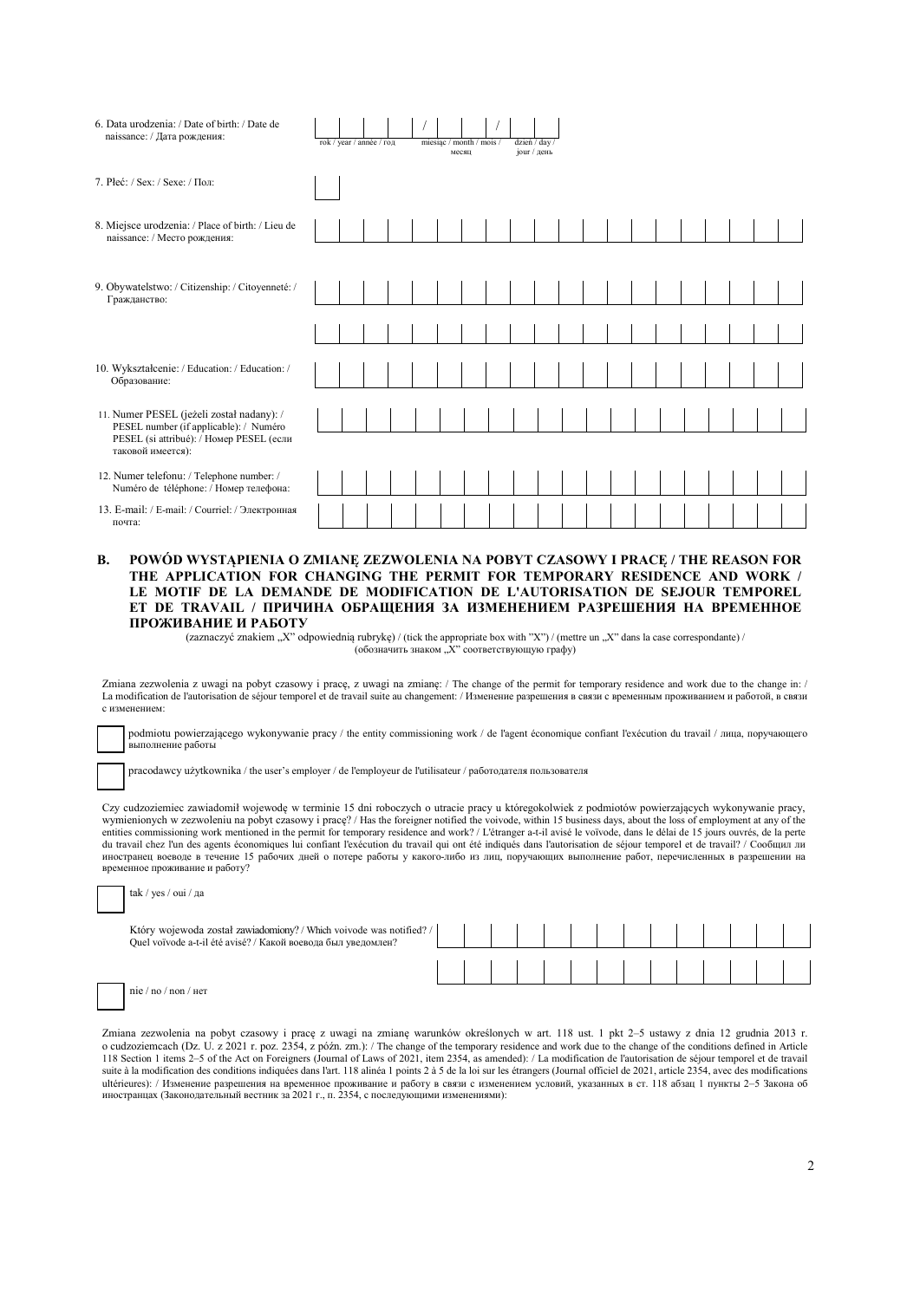| 6. Data urodzenia: / Date of birth: / Date de<br>naissance: / Дата рождения:                                                    | rok / year / année / год |  |  | miesiąc / month / mois / | месяц | jour / день | dzień / day / |  |  |  |  |  |
|---------------------------------------------------------------------------------------------------------------------------------|--------------------------|--|--|--------------------------|-------|-------------|---------------|--|--|--|--|--|
| 7. Płeć: / Sex: / Sexe: / Пол:                                                                                                  |                          |  |  |                          |       |             |               |  |  |  |  |  |
| 8. Miejsce urodzenia: / Place of birth: / Lieu de<br>naissance: / Место рождения:                                               |                          |  |  |                          |       |             |               |  |  |  |  |  |
| 9. Obywatelstwo: / Citizenship: / Citoyenneté: /<br>Гражданство:                                                                |                          |  |  |                          |       |             |               |  |  |  |  |  |
|                                                                                                                                 |                          |  |  |                          |       |             |               |  |  |  |  |  |
| 10. Wykształcenie: / Education: / Education: /<br>Образование:                                                                  |                          |  |  |                          |       |             |               |  |  |  |  |  |
| 11. Numer PESEL (jeżeli został nadany): /<br>PESEL number (if applicable): / Numéro<br>PESEL (si attribué): / Номер PESEL (если |                          |  |  |                          |       |             |               |  |  |  |  |  |
| таковой имеется):<br>12. Numer telefonu: / Telephone number: /<br>Numéro de téléphone: / Номер телефона:                        |                          |  |  |                          |       |             |               |  |  |  |  |  |
| 13. E-mail: / E-mail: / Courriel: / Электронная<br>почта:                                                                       |                          |  |  |                          |       |             |               |  |  |  |  |  |

#### **B. POWÓD WYSTĄPIENIA O ZMIANĘ ZEZWOLENIA NA POBYT CZASOWY I PRACĘ / THE REASON FOR THE APPLICATION FOR CHANGING THE PERMIT FOR TEMPORARY RESIDENCE AND WORK / LE MOTIF DE LA DEMANDE DE MODIFICATION DE L'AUTORISATION DE SEJOUR TEMPOREL ET DE TRAVAIL / ПРИЧИНА ОБРАЩЕНИЯ ЗА ИЗМЕНЕНИЕМ РАЗРЕШЕНИЯ НА ВРЕМЕННОЕ ПРОЖИВАНИЕ И РАБОТУ**

(zaznaczyć znakiem "X" odpowiednią rubrykę) / (tick the appropriate box with "X") / (mettre un "X" dans la case correspondante) / (обозначить знаком "X" соответствующую графу)

Zmiana zezwolenia z uwagi na pobyt czasowy i pracę, z uwagi na zmianę: / The change of the permit for temporary residence and work due to the change in: / La modification de l'autorisation de séjour temporel et de travail suite au changement: / Изменение разрешения в связи с временным проживанием и работой, в связи с изменением:

podmiotu powierzającego wykonywanie pracy / the entity commissioning work / de l'agent économique confiant l'exécution du travail / лица, поручающего выполнение работы

pracodawcy użytkownika / the user's employer / de l'employeur de l'utilisateur / работодателя пользователя

 Czy cudzoziemiec zawiadomił wojewodę w terminie 15 dni roboczych o utracie pracy u któregokolwiek z podmiotów powierzających wykonywanie pracy, wymienionych w zezwoleniu na pobyt czasowy i pracę? / Has the foreigner notified the voivode, within 15 business days, about the loss of employment at any of the entities commissioning work mentioned in the permit for temporary residence and work? / L'étranger a-t-il avisé le voïvode, dans le délai de 15 jours ouvrés, de la perte du travail chez l'un des agents économiques lui confiant l'exécution du travail qui ont été indiqués dans l'autorisation de séjour temporel et de travail? / Сообщил ли иностранец воеводе в течение 15 рабочих дней о потере работы у какого-либо из лиц, поручающих выполнение работ, перечисленных в разрешении на временное проживание и работу?

| tak / yes / oui / да                                                                                                                 |  |  |  |  |  |  |                           |  |
|--------------------------------------------------------------------------------------------------------------------------------------|--|--|--|--|--|--|---------------------------|--|
| Który wojewoda został zawiadomiony? / Which voivode was notified? /<br>Quel voïvode a-t-il été avisé? / Какой воевода был уведомлен? |  |  |  |  |  |  | 1 1 1 1 1 1 1 1 1 1 1 1 1 |  |
|                                                                                                                                      |  |  |  |  |  |  |                           |  |
| nie/no/non/                                                                                                                          |  |  |  |  |  |  |                           |  |

Zmiana zezwolenia na pobyt czasowy i pracę z uwagi na zmianę warunków określonych w art. 118 ust. 1 pkt 2–5 ustawy z dnia 12 grudnia 2013 r. o cudzoziemcach (Dz. U. z 2021 r. poz. 2354, z późn. zm.): / The change of the temporary residence and work due to the change of the conditions defined in Article 118 Section 1 items 2–5 of the Act on Foreigners (Journal of Laws of 2021, item 2354, as amended): / La modification de l'autorisation de séjour temporel et de travail suite à la modification des conditions indiquées dans l'art. 118 alinéa 1 points 2 à 5 de la loi sur les étrangers (Journal officiel de 2021, article 2354, avec des modifications ultérieures): / Изменение разрешения на временное проживание и работу в связи с изменением условий, указанных в ст. 118 абзац 1 пункты 2–5 Закона об иностранцах (Законодательный вестник за 2021 г., п. 2354, с последующими изменениями):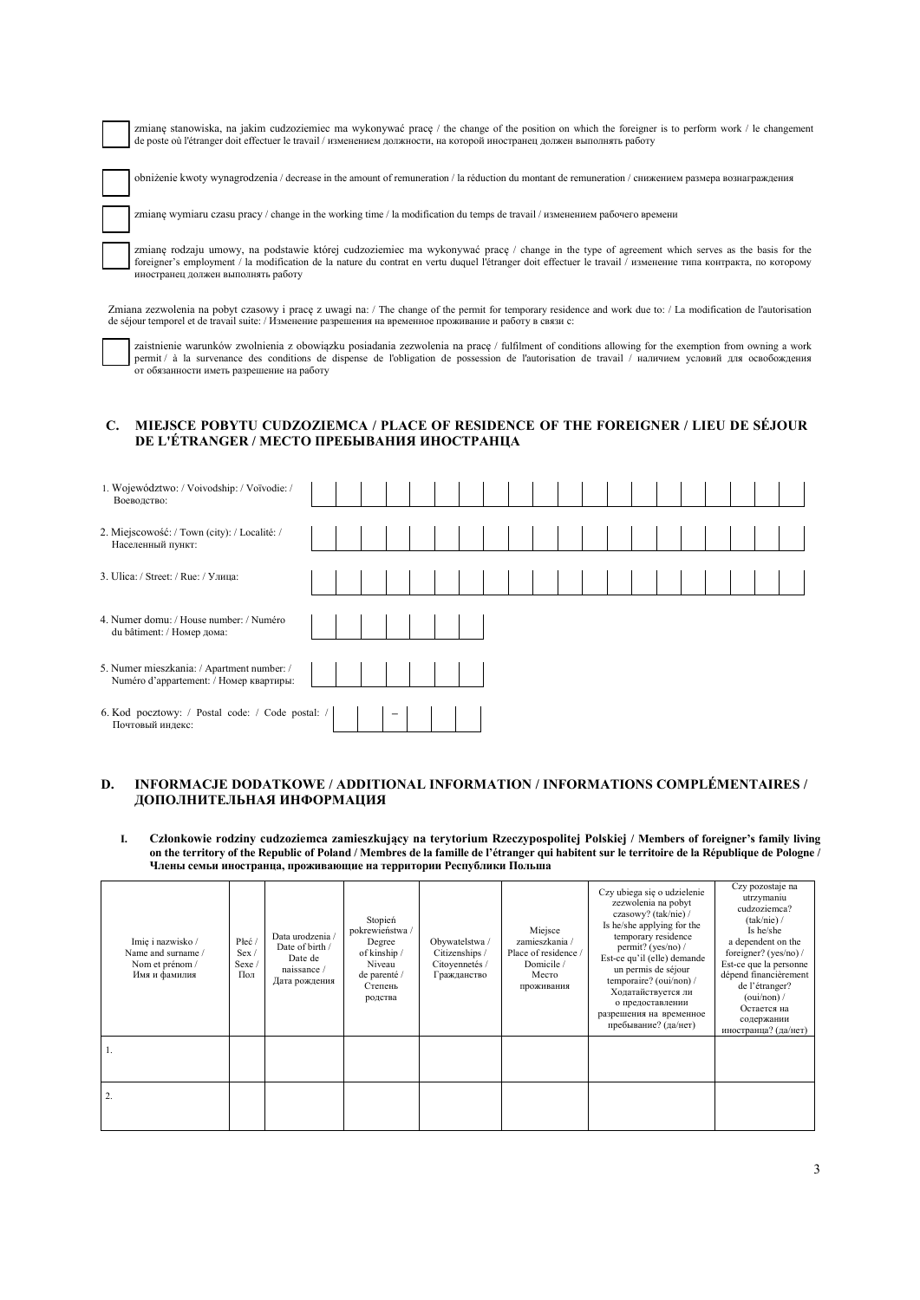zmianę stanowiska, na jakim cudzoziemiec ma wykonywać pracę / the change of the position on which the foreigner is to perform work / le changement de poste où l'étranger doit effectuer le travail / изменением должности, на которой иностранец должен выполнять работу

obniżenie kwoty wynagrodzenia / decrease in the amount of remuneration / la réduction du montant de remuneration / снижением размера вознаграждения

zmianę wymiaru czasu pracy / change in the working time / la modification du temps de travail / изменением рабочего времени

 $\overline{a}$ 

-<br>-

zmianę rodzaju umowy, na podstawie której cudzoziemiec ma wykonywać pracę / change in the type of agreement which serves as the basis for the foreigner's employment / la modification de la nature du contrat en vertu duquel l'étranger doit effectuer le travail / изменение типа контракта, по которому иностранец должен выполнять работу

 Zmiana zezwolenia na pobyt czasowy i pracę z uwagi na: / The change of the permit for temporary residence and work due to: / La modification de l'autorisation de séjour temporel et de travail suite: / Изменение разрешения на временное проживание и работу в связи с:

zaistnienie warunków zwolnienia z obowiązku posiadania zezwolenia na pracę / fulfilment of conditions allowing for the exemption from owning a work permit / à la survenance des conditions de dispense de l'obligation de possession de l'autorisation de travail / наличием условий для освобождения от обязанности иметь разрешение на работу

### **C. MIEJSCE POBYTU CUDZOZIEMCA / PLACE OF RESIDENCE OF THE FOREIGNER / LIEU DE SÉJOUR DE L'ÉTRANGER / МЕСТО ПРЕБЫВАНИЯ ИНОСТРАНЦА**

| 1. Województwo: / Voivodship: / Voïvodie: /<br>Воеводство:                            |  |  |  |  |  |  |  |  |  |  |
|---------------------------------------------------------------------------------------|--|--|--|--|--|--|--|--|--|--|
| 2. Miejscowość: / Town (city): / Localité: /<br>Населенный пункт:                     |  |  |  |  |  |  |  |  |  |  |
| 3. Ulica: / Street: / Rue: / Улица:                                                   |  |  |  |  |  |  |  |  |  |  |
| 4. Numer domu: / House number: / Numéro<br>du bâtiment: / Номер дома:                 |  |  |  |  |  |  |  |  |  |  |
| 5. Numer mieszkania: / Apartment number: /<br>Numéro d'appartement: / Номер квартиры: |  |  |  |  |  |  |  |  |  |  |
| 6. Kod pocztowy: / Postal code: / Code postal: /<br>Почтовый индекс:                  |  |  |  |  |  |  |  |  |  |  |

### **D. INFORMACJE DODATKOWE / ADDITIONAL INFORMATION / INFORMATIONS COMPLÉMENTAIRES / ДОПОЛНИТЕЛЬНАЯ ИНФОРМАЦИЯ**

**I. Członkowie rodziny cudzoziemca zamieszkujący na terytorium Rzeczypospolitej Polskiej / Members of foreigner's family living on the territory of the Republic of Poland / Membres de la famille de l'étranger qui habitent sur le territoire de la République de Pologne / Члены семьи иностранца, проживающие на территории Республики Польша** 

| Imie i nazwisko /<br>Name and surname /<br>Nom et prénom /<br>Имя и фамилия | Płeć<br>Sex /<br>Sexe /<br>Пол | Data urodzenia /<br>Date of birth /<br>Date de<br>naissance /<br>Дата рождения | Stopień<br>pokrewieństwa /<br>Degree<br>of kinship /<br>Niveau<br>de parenté /<br>Степень<br>родства | Obywatelstwa /<br>Citizenships /<br>Citoyennetés /<br>Гражданство | Miejsce<br>zamieszkania /<br>Place of residence /<br>Domicile /<br>Место<br>проживания | Czy ubiega się o udzielenie<br>zezwolenia na pobyt<br>czasowy? (tak/nie) /<br>Is he/she applying for the<br>temporary residence<br>permit? (yes/no) /<br>Est-ce qu'il (elle) demande<br>un permis de séjour<br>temporaire? (oui/non) /<br>Ходатайствуется ли<br>о предоставлении<br>разрешения на временное<br>пребывание? (да/нет) | Czy pozostaje na<br>utrzymaniu<br>cudzoziemca?<br>(tak/nie) /<br>Is he/she<br>a dependent on the<br>foreigner? (yes/no) /<br>Est-ce que la personne<br>dépend financièrement<br>de l'étranger?<br>$(ouv/non)$ /<br>Остается на<br>содержании<br>иностранца? (да/нет) |
|-----------------------------------------------------------------------------|--------------------------------|--------------------------------------------------------------------------------|------------------------------------------------------------------------------------------------------|-------------------------------------------------------------------|----------------------------------------------------------------------------------------|-------------------------------------------------------------------------------------------------------------------------------------------------------------------------------------------------------------------------------------------------------------------------------------------------------------------------------------|----------------------------------------------------------------------------------------------------------------------------------------------------------------------------------------------------------------------------------------------------------------------|
|                                                                             |                                |                                                                                |                                                                                                      |                                                                   |                                                                                        |                                                                                                                                                                                                                                                                                                                                     |                                                                                                                                                                                                                                                                      |
| 2.                                                                          |                                |                                                                                |                                                                                                      |                                                                   |                                                                                        |                                                                                                                                                                                                                                                                                                                                     |                                                                                                                                                                                                                                                                      |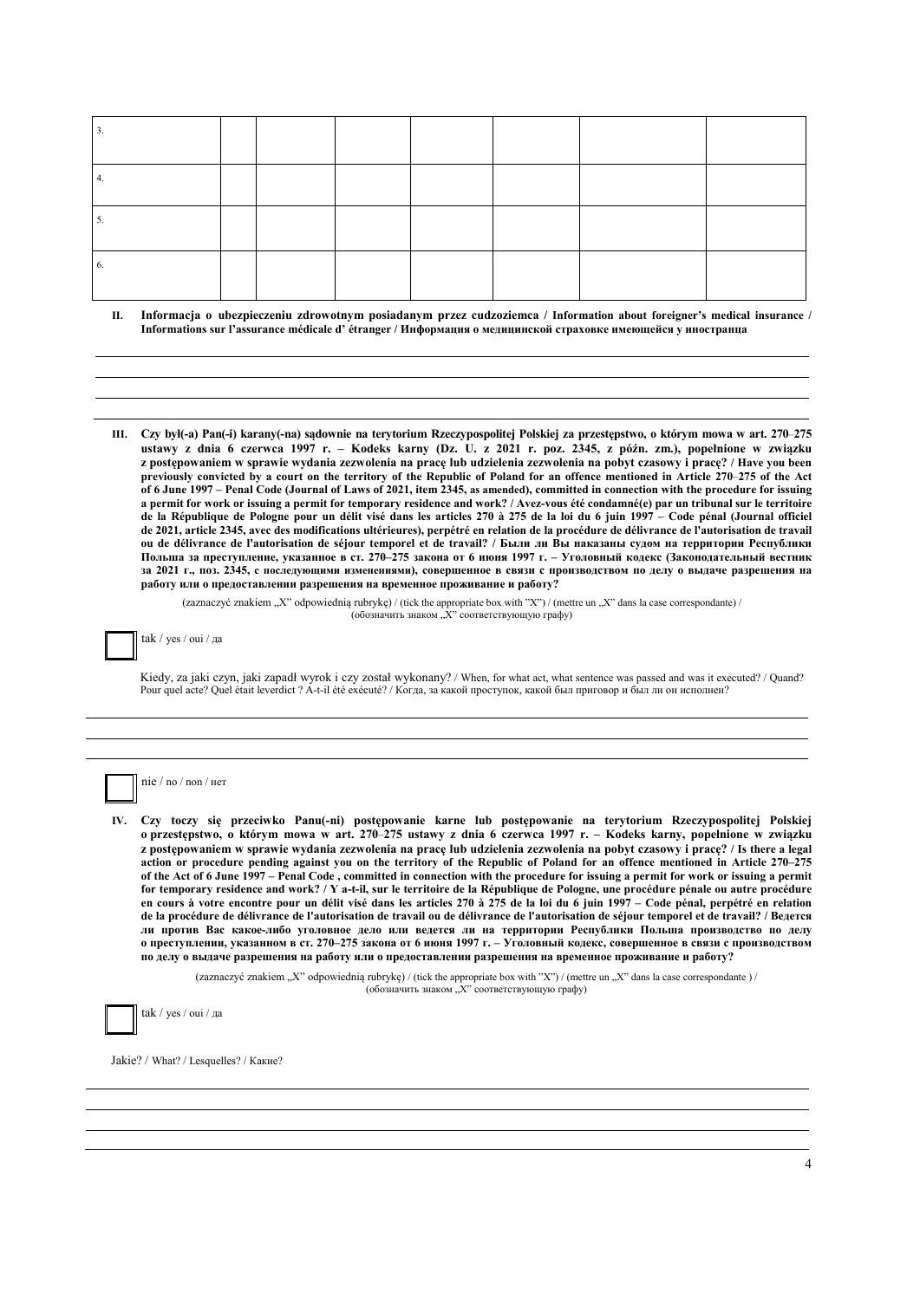| 0. |  |  |  |  |
|----|--|--|--|--|

- **II. Informacja o ubezpieczeniu zdrowotnym posiadanym przez cudzoziemca / Information about foreigner's medical insurance / Informations sur l'assurance médicale d' étranger / Информация о медицинской страховке имеющейся у иностранца**
- **III. Czy był(-a) Pan(-i) karany(-na) sądownie na terytorium Rzeczypospolitej Polskiej za przestępstwo, o którym mowa w art. 270**–**275 ustawy z dnia 6 czerwca 1997 r. – Kodeks karny (Dz. U. z 2021 r. poz. 2345, z późn. zm.), popełnione w związku z postępowaniem w sprawie wydania zezwolenia na pracę lub udzielenia zezwolenia na pobyt czasowy i pracę? / Have you been previously convicted by a court on the territory of the Republic of Poland for an offence mentioned in Article 270**–**275 of the Act of 6 June 1997 – Penal Code (Journal of Laws of 2021, item 2345, as amended), committed in connection with the procedure for issuing a permit for work or issuing a permit for temporary residence and work? / Avez-vous été condamné(e) par un tribunal sur le territoire de la République de Pologne pour un délit visé dans les articles 270 à 275 de la loi du 6 juin 1997 – Code pénal (Journal officiel**  de 2021, article 2345, avec des modifications ultérieures), perpétré en relation de la procédure de délivrance de l'autorisation de travail **ou de délivrance de l'autorisation de séjour temporel et de travail? / Были ли Вы наказаны судом на территории Республики Польша за преступление, указанное в ст. 270–275 закона от 6 июня 1997 г. – Уголовный кодекс (Законодательный вестник за 2021 г., поз. 2345, с последующими изменениями), совершенное в связи с производством по делу о выдаче разрешения на работу или о предоставлении разрешения на временное проживание и работу?**

(zaznaczyć znakiem "X" odpowiednią rubrykę) / (tick the appropriate box with "X") / (mettre un "X" dans la case correspondante) / (обозначить знаком "Х" соответствующую графу)

tak / yes / oui / да

Kiedy, za jaki czyn, jaki zapadł wyrok i czy został wykonany? / When, for what act, what sentence was passed and was it executed? / Quand? Pour quel acte? Quel était leverdict ? A-t-il été exécuté? / Когда, за какой проступок, какой был приговор и был ли он исполнен?



**IV. Czy toczy się przeciwko Panu(-ni) postępowanie karne lub postępowanie na terytorium Rzeczypospolitej Polskiej o przestępstwo, o którym mowa w art. 270**–**275 ustawy z dnia 6 czerwca 1997 r. – Kodeks karny, popełnione w związku z postępowaniem w sprawie wydania zezwolenia na pracę lub udzielenia zezwolenia na pobyt czasowy i pracę? / Is there a legal action or procedure pending against you on the territory of the Republic of Poland for an offence mentioned in Article 270–275 of the Act of 6 June 1997 – Penal Code , committed in connection with the procedure for issuing a permit for work or issuing a permit for temporary residence and work? / Y a-t-il, sur le territoire de la République de Pologne, une procédure pénale ou autre procédure**  en cours à votre encontre pour un délit visé dans les articles 270 à 275 de la loi du 6 juin 1997 – Code pénal, perpétré en relation **de la procédure de délivrance de l'autorisation de travail ou de délivrance de l'autorisation de séjour temporel et de travail? / Ведется ли против Вас какое-либо уголовное дело или ведется ли на территории Республики Польша производство по делу о преступлении, указанном в ст. 270–275 закона от 6 июня 1997 г. – Уголовный кодекс, совершенное в связи с производством по делу о выдаче разрешения на работу или о предоставлении разрешения на временное проживание и работу?** 

> (zaznaczyć znakiem "X" odpowiednią rubrykę) / (tick the appropriate box with "X") / (mettre un "X" dans la case correspondante ) / (обозначить знаком "Х" соответствующую графу)



tak / yes / oui / да

Jakie? / What? / Lesquelles? / Какие?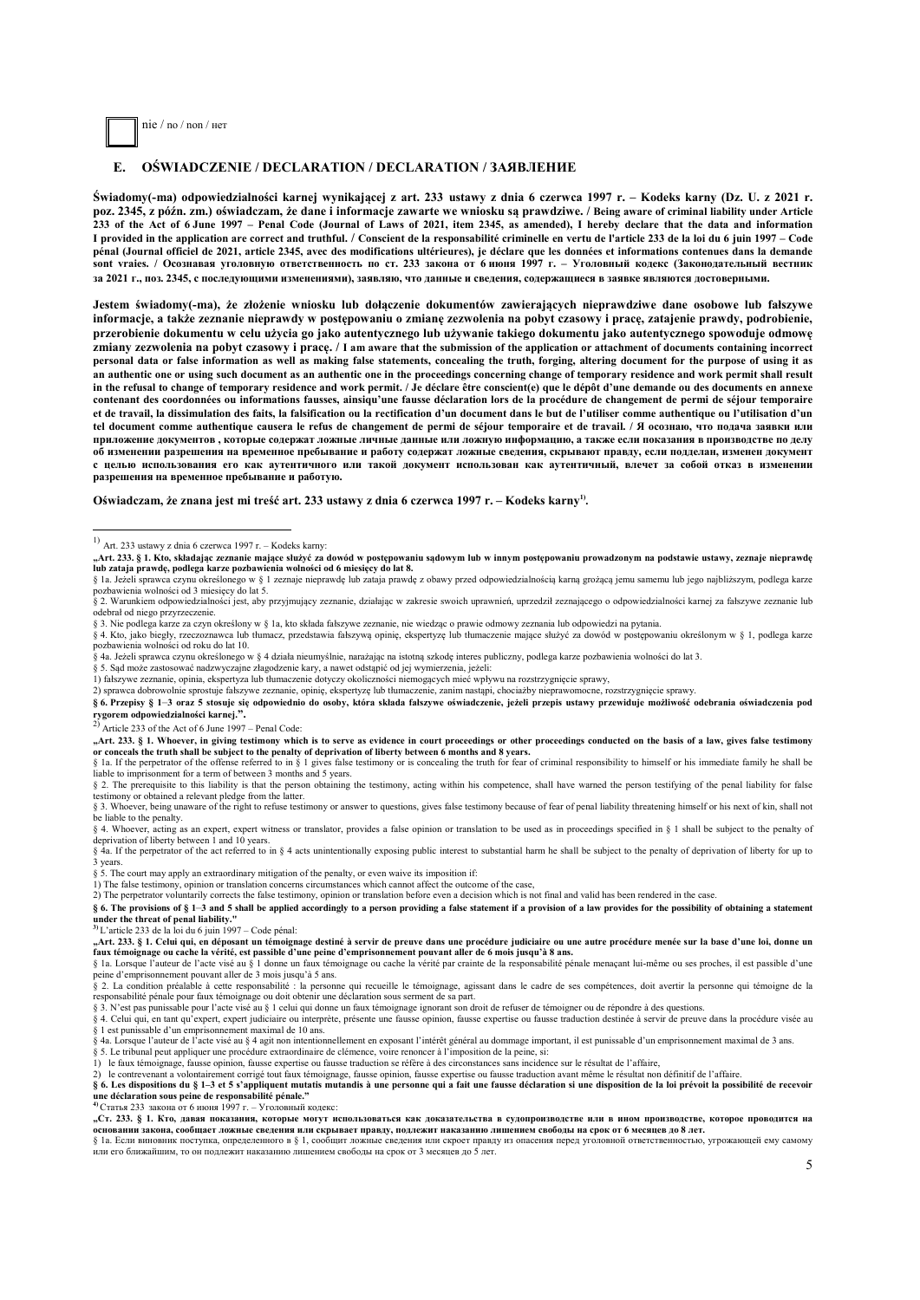

#### **E. OŚWIADCZENIE / DECLARATION / DECLARATION / ЗАЯВЛЕНИE**

**Świadomy(-ma) odpowiedzialności karnej wynikającej z art. 233 ustawy z dnia 6 czerwca 1997 r. – Kodeks karny (Dz. U. z 2021 r. poz. 2345, z późn. zm.) oświadczam, że dane i informacje zawarte we wniosku są prawdziwe. / Being aware of criminal liability under Article 233 of the Act of 6 June 1997 – Penal Code (Journal of Laws of 2021, item 2345, as amended), I hereby declare that the data and information I provided in the application are correct and truthful. / Conscient de la responsabilité criminelle en vertu de l'article 233 de la loi du 6 juin 1997 – Code pénal (Journal officiel de 2021, article 2345, avec des modifications ultérieures), je déclare que les données et informations contenues dans la demande sont vraies. / Осознавая уголовную ответственность по ст. 233 закона от 6 июня 1997 г. – Уголовный кодекс (Законодательный вестник за 2021 г., поз. 2345, с последующими изменениями), заявляю, что данные и свeдeния, содержащиеся в заявке являются достоверными.** 

**Jestem świadomy(-ma), że złożenie wniosku lub dołączenie dokumentów zawierających nieprawdziwe dane osobowe lub fałszywe informacje, a także zeznanie nieprawdy w postępowaniu o zmianę zezwolenia na pobyt czasowy i pracę, zatajenie prawdy, podrobienie, przerobienie dokumentu w celu użycia go jako autentycznego lub używanie takiego dokumentu jako autentycznego spowoduje odmowę zmiany zezwolenia na pobyt czasowy i pracę. / I am aware that the submission of the application or attachment of documents containing incorrect personal data or false information as well as making false statements, concealing the truth, forging, altering document for the purpose of using it as an authentic one or using such document as an authentic one in the proceedings concerning change of temporary residence and work permit shall result in the refusal to change of temporary residence and work permit. / Je déclare être conscient(e) que le dépôt d'une demande ou des documents en annexe contenant des coordonnées ou informations fausses, ainsiqu'une fausse déclaration lors de la procédure de changement de permi de séjour temporaire et de travail, la dissimulation des faits, la falsification ou la rectification d'un document dans le but de l'utiliser comme authentique ou l'utilisation d'un tel document comme authentique causera le refus de changement de permi de séjour temporaire et de travail. / Я осознаю, что подача заявки или приложение документов , которые содержат ложные личные данные или ложную информацию, а также если показания в производстве по делу об изменении разрешения на временное пребывание и работу содержат ложные сведения, скрывают правду, если подделан, изменен документ с целью использования его как аутентичного или такой документ использован как аутентичный, влечет за собой отказ в изменении разрешения на временное пребывание и работую.** 

Oświadczam, że znana jest mi treść art. 233 ustawy z dnia 6 czerwca 1997 r. – Kodeks karny<sup>1)</sup>.

-

§ 3. Nie podlega karze za czyn określony w § 1a, kto składa fałszywe zeznanie, nie wiedząc o prawie odmowy zeznania lub odpowiedzi na pytania.

§ 4a. Jeżeli sprawca czynu określonego w § 4 działa nieumyślnie, narażając na istotną szkodę interes publiczny, podlega karze pozbawienia wolności do lat 3.

- § 5. Sąd może zastosować nadzwyczajne złagodzenie kary, a nawet odstąpić od jej wymierzenia, jeżeli:
- 1) fałszywe zeznanie, opinia, ekspertyza lub tłumaczenie dotyczy okoliczności niemogących mieć wpływu na rozstrzygnięcie sprawy,
- 2) sprawca dobrowolnie sprostuje fałszywe zeznanie, opinię, ekspertyzę lub tłumaczenie, zanim nastąpi, chociażby nieprawomocne, rozstrzygnięcie sprawy.

**§ 6. Przepisy § 1**–**3 oraz 5 stosuje się odpowiednio do osoby, która składa fałszywe oświadczenie, jeżeli przepis ustawy przewiduje możliwość odebrania oświadczenia pod rygorem odpowiedzialności karnej.".** 

2) Article 233 of the Act of 6 June 1997 – Penal Code:

"Art. 233. § 1. Whoever, in giving testimony which is to serve as evidence in court proceedings or other proceedings conducted on the basis of a law, gives false testimony<br>or conceals the truth shall be subject to the pen

liable to imprisonment for a term of between 3 months and 5 years.

s 2. The prerequisite to this liability is that the person obtaining the testimony, acting within his competence, shall have warned the person testifying of the penal liability for false testimony or obtained a relevant pledge from the latter. § 3. Whoever, being unaware of the right to refuse testimony or answer to questions, gives false testimony because of fear of penal liability threatening himself or his next of kin, shall not

be liable to the penalty. § 4. Whoever, acting as an expert, expert witness or translator, provides a false opinion or translation to be used as in proceedings specified in § 1 shall be subject to the penalty of

deprivation of liberty between 1 and 10 years. § 4a. If the perpetrator of the act referred to in § 4 acts unintentionally exposing public interest to substantial harm he shall be subject to the penalty of deprivation of liberty for up to

3 years. § 5. The court may apply an extraordinary mitigation of the penalty, or even waive its imposition if:

1) The false testimony, opinion or translation concerns circumstances which cannot affect the outcome of the case,

2) The perpetrator voluntarily corrects the false testimony, opinion or translation before even a decision which is not final and valid has been rendered in the case.

§ 6. The provisions of § 1–3 and 5 shall be applied accordingly to a person providing a false statement if a provision of a law provides for the possibility of obtaining a statement **under the threat of penal liability." 3)** L'article 233 de la loi du 6 juin 1997 – Code pénal:

**"Art. 233. § 1. Celui qui, en déposant un témoignage destiné à servir de preuve dans une procédure judiciaire ou une autre procédure menée sur la base d'une loi, donne un**  faux témoignage ou cache la vérité, est passible d'une peine d'emprisonnement pouvant aller de 6 mois jusqu'à 8 ans.<br>§ 1a. Lorsque l'auteur de l'acte visé au § 1 donne un faux témoignage ou cache la vérité par crainte de l

peine d'emprisonnement pouvant aller de 3 mois jusqu'à 5 ans.

§ 2. La condition préalable à cette responsabilité : la personne qui recueille le témoignage, agissant dans le cadre de ses compétences, doit avertir la personne qui témoigne de la responsabilité pénale pour faux témoignage ou doit obtenir une déclaration sous serment de sa part.

§ 3. N'est pas punissable pour l'acte visé au § 1 celui qui donne un faux témoignage ignorant son droit de refuser de témoigner ou de répondre à des questions.

§ 4. Celui qui, en tant qu'expert, expert judiciaire ou interprète, présente une fausse opinion, fausse expertise ou fausse traduction destinée à servir de preuve dans la procédure visée au § 1 est punissable d'un emprisonnement maximal de 10 ans.

§ 4a. Lorsque l'auteur de l'acte visé au § 4 agit non intentionnellement en exposant l'intérêt général au dommage important, il est punissable d'un emprisonnement maximal de 3 ans.

§ 5. Le tribunal peut appliquer une procédure extraordinaire de clémence, voire renoncer à l'imposition de la peine, si:<br>1) le faux témoignage, fausse opinion, fausse expertise ou fausse traduction se réfère à des circonst

2) le contrevenant a volontairement corrigé tout faux témoignage, fausse opinion, fausse expertise ou fausse traduction avant même le résultat non définitif de l'affaire. **§ 6. Les dispositions du § 1–3 et 5 s'appliquent mutatis mutandis à une personne qui a fait une fausse déclaration si une disposition de la loi prévoit la possibilité de recevoir** 

**une déclaration sous peine de responsabilité pénale." 4)** Cтатья 233 закона от 6 июня 1997 г. – Уголовный кодекс:

**"Ст. 233. § 1. Кто, давая показания, которые могут использоваться как доказательства в судопроизводстве или в ином производстве, которое проводится на основании закона, сообщает ложные сведения или скрывает правду, подлежит наказанию лишением свободы на срок от 6 месяцев до 8 лет.** 

§ 1a. Если виновник поступка, определенного в § 1, сообщит ложные сведения или скроет правду из опасения перед уголовной ответственностью, угрожающей ему самому или его ближайшим, то он подлежит наказанию лишением свободы на срок от 3 месяцев до 5 лет.

 $1)$  Art. 233 ustawy z dnia 6 czerwca 1997 r. – Kodeks karny:

<sup>&</sup>quot;Art. 233. § 1. Kto, składając zeznanie mające służyć za dowód w postępowaniu sądowym lub w innym postępowaniu prowadzonym na podstawie ustawy, zeznaje nieprawdę<br>lub zataja prawdę, podlega karze pozbawienia wolności od 6 m

<sup>§ 1</sup>a. Jeżeli sprawca czynu określonego w § 1 zeznaje nieprawdę lub zataja prawdę z obawy przed odpowiedzialnością karną grożącą jemu samemu lub jego najbliższym, podlega karze pozbawienia wolności od 3 miesięcy do lat 5.

<sup>§ 2.</sup> Warunkiem odpowiedzialności jest, aby przyjmujący zeznanie, działając w zakresie swoich uprawnień, uprzedził zeznającego o odpowiedzialności karnej za fałszywe zeznanie lub odebrał od niego przyrzeczenie.

<sup>§ 4.</sup> Kto, jako biegły, rzeczoznawca lub tłumacz, przedstawia fałszywą opinię, ekspertyzę lub tłumaczenie mające służyć za dowód w postępowaniu określonym w § 1, podlega karze pozbawienia wolności od roku do lat 10.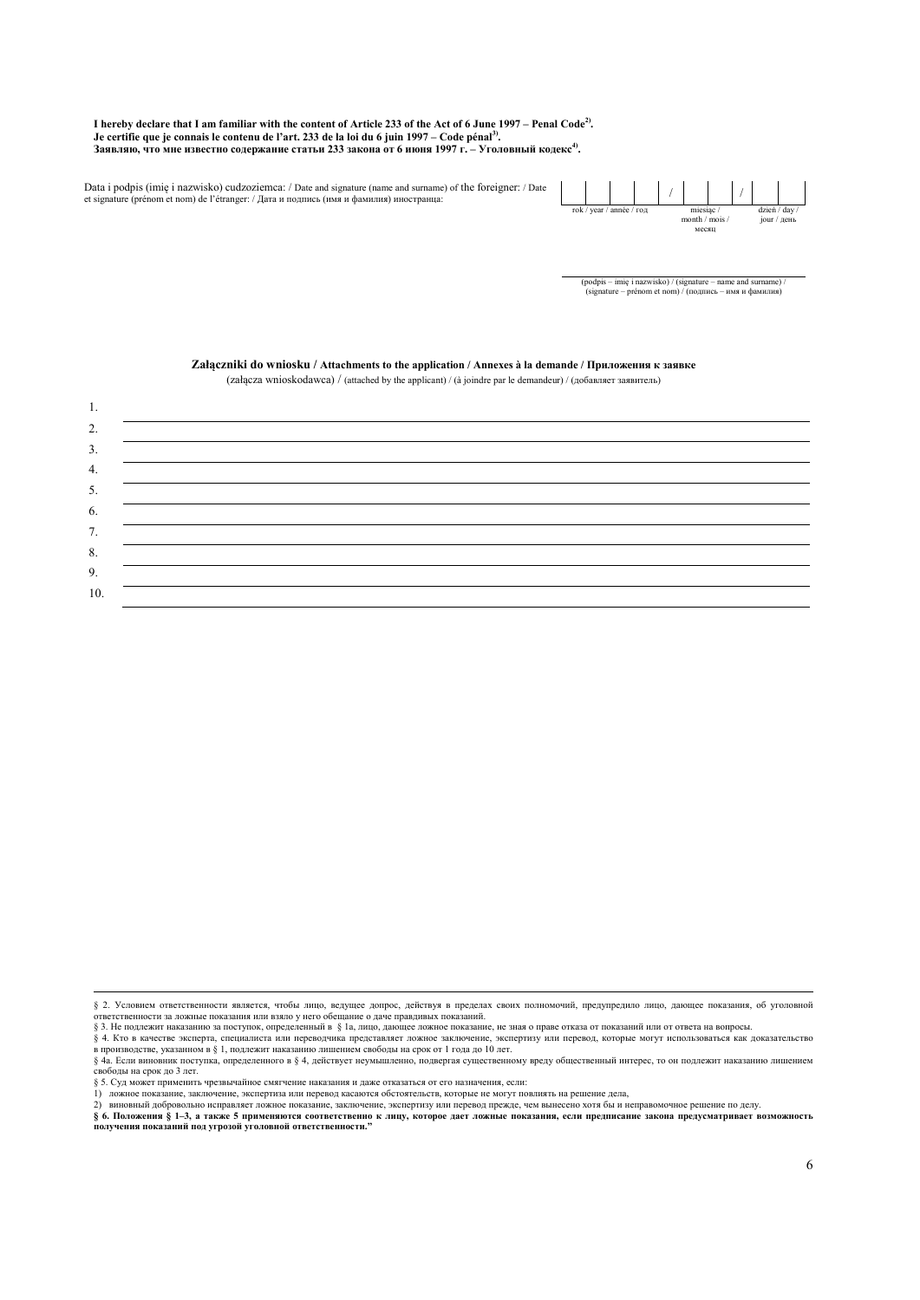**I hereby declare that I am familiar with the content of Article 233 of the Act of 6 June 1997 – Penal Code2). Je certifie que je connais le contenu de l'art. 233 de la loi du 6 juin 1997 – Code pénal3). Заявляю, что мне известно содержание статьи 233 закона от 6 июня 1997 г. – Уголовный кодекс4).** 

Data i podpis (imię i nazwisko) cudzoziemca: / Date and signature (name and surname) of the foreigner: / Date et signature (prénom et nom) de l'étranger: / Дата и подпись (имя и фамилия) иностранца:



(podpis – imię i nazwisko) / (signature – name and surname) / (signature – prénom et nom) / (подпись – имя и фамилия)

|     | (zangeza winosiyotawea) / (anaenea by the approam) / (a jointre par le demandeur) / (goodbiner sanbhreib) |
|-----|-----------------------------------------------------------------------------------------------------------|
| 1.  |                                                                                                           |
| 2.  |                                                                                                           |
| 3.  |                                                                                                           |
| 4.  |                                                                                                           |
| 5.  |                                                                                                           |
| 6.  |                                                                                                           |
| 7.  |                                                                                                           |
| 8.  |                                                                                                           |
| 9.  |                                                                                                           |
| 10. |                                                                                                           |

#### **Załączniki do wniosku / Attachments to the application / Annexes à la demande / Приложения к заявке**  $(za)$  (załącza wnioskodawca) / (attached by the applicant) / (à joindre par le demandeur) / (добавляет заявитель)

ответственности за ложные показания или взяло у него обещание о даче правдивых показаний.<br>§ 3. Не подлежит наказанию за поступок, определенный в §1а, лицо, дающее ложное показание, не зная о праве отказа от показаний или § 4. Кто в качестве эксперта, специалиста или переводчика представляет ложное заключение, экспертизу или перевод, которые могут использоваться как доказательство<br>в производстве, указанном в § 1, подлежит наказанию лишение

§ 5. Суд может применить чрезвычайное смягчение наказания и даже отказаться от его назначения, если: 1) ложное показание, заключение, экспертиза или перевод касаются обстоятельств, которые не могут повлиять на решение дела,

2) виновный добровольно исправляет ложное показание, заключение, экспертизу или перевод прежде, чем вынесено хотя бы и неправомочное решение по делу.

§ 6. Положения § 1–3, а также 5 применяются соответственно к лицу, которое дает ложные показания, если предписание закона предусматривает возможность<br>получения показаний под угрозой уголовной ответственности."

<sup>—&</sup>lt;br>§ 2. Условием ответственности является, чтобы лицо, ведущее допрос, действуя в пределах своих полномочий, предупредило лицо, дающее показания, об уголовной

<sup>§ 4</sup>a. Если виновник поступка, определенного в § 4, действует неумышленно, подвергая существенному вреду общественный интерес, то он подлежит наказанию лишением свободы на срок до 3 лет.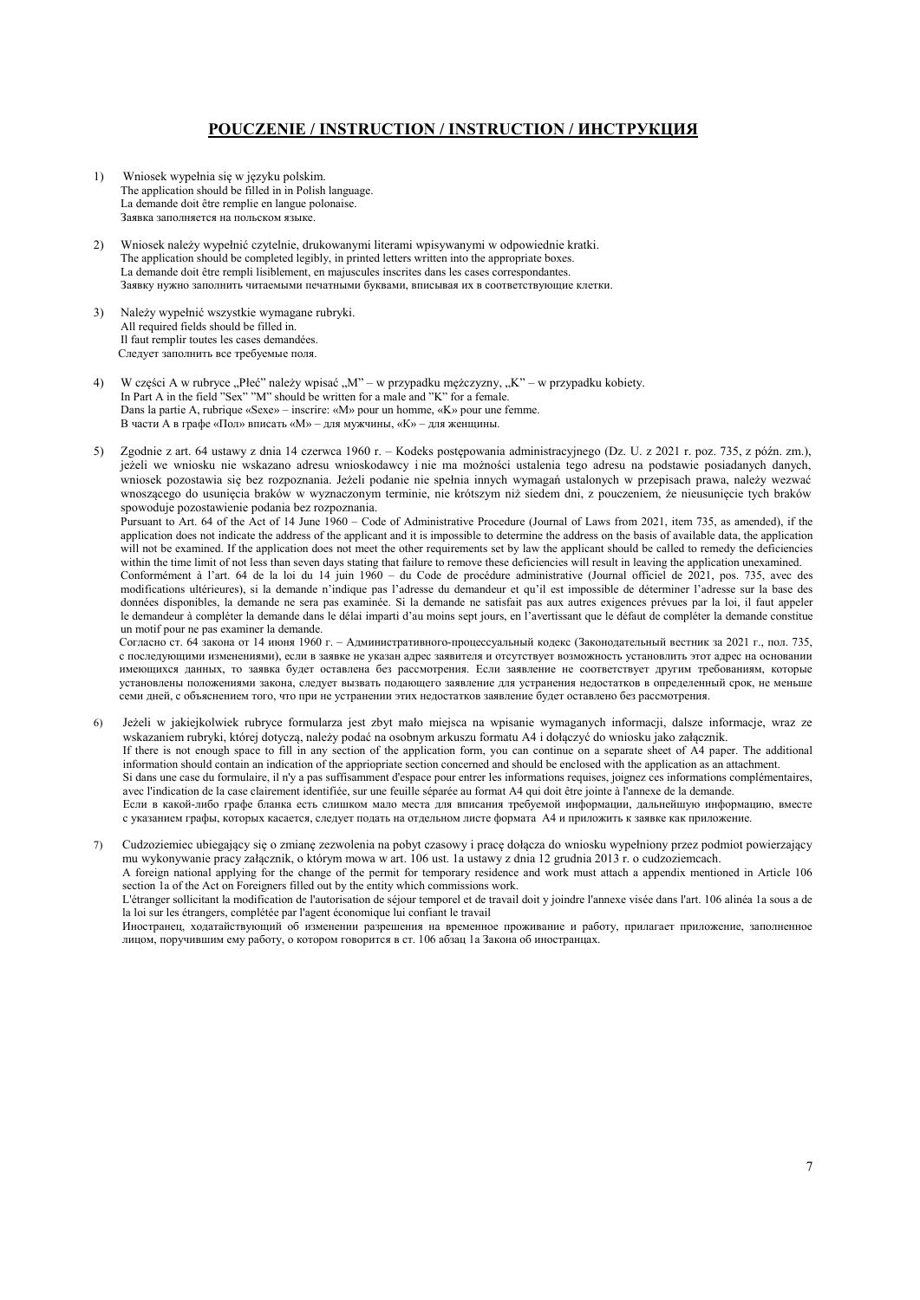# **POUCZENIE / INSTRUCTION / INSTRUCTION / ИНСТРУКЦИЯ**

- 1) Wniosek wypełnia się w języku polskim. The application should be filled in in Polish language. La demande doit être remplie en langue polonaise. Заявка заполняется на польском языке.
- 2) Wniosek należy wypełnić czytelnie, drukowanymi literami wpisywanymi w odpowiednie kratki. The application should be completed legibly, in printed letters written into the appropriate boxes. La demande doit être rempli lisiblement, en majuscules inscrites dans les cases correspondantes. Заявкy нужно заполнить читаемыми печатными буквами, вписывая их в соответствующие клетки.
- 3) Należy wypełnić wszystkie wymagane rubryki. All required fields should be filled in. Il faut remplir toutes les cases demandées. Следует заполнить все требуемые поля.
- 4) W części A w rubryce "Płeć" należy wpisać "M" w przypadku mężczyzny, "K" w przypadku kobiety. In Part A in the field "Sex" "M" should be written for a male and "K" for a female. Dans la partie A, rubrique «Sexe» – inscrire: «M» pour un homme, «K» pour une femme. В части А в графе «Пол» вписать «М» – для мужчины, «К» – для женщины.
- 5) Zgodnie z art. 64 ustawy z dnia 14 czerwca 1960 r. Kodeks postępowania administracyjnego (Dz. U. z 2021 r. poz. 735, z późn. zm.), jeżeli we wniosku nie wskazano adresu wnioskodawcy i nie ma możności ustalenia tego adresu na podstawie posiadanych danych, wniosek pozostawia się bez rozpoznania. Jeżeli podanie nie spełnia innych wymagań ustalonych w przepisach prawa, należy wezwać wnoszącego do usunięcia braków w wyznaczonym terminie, nie krótszym niż siedem dni, z pouczeniem, że nieusunięcie tych braków spowoduje pozostawienie podania bez rozpoznania.

Pursuant to Art. 64 of the Act of 14 June 1960 – Code of Administrative Procedure (Journal of Laws from 2021, item 735, as amended), if the application does not indicate the address of the applicant and it is impossible to determine the address on the basis of available data, the application will not be examined. If the application does not meet the other requirements set by law the applicant should be called to remedy the deficiencies within the time limit of not less than seven days stating that failure to remove these deficiencies will result in leaving the application unexamined.

Conformément à l'art. 64 de la loi du 14 juin 1960 – du Code de procédure administrative (Journal officiel de 2021, pos. 735, avec des modifications ultérieures), si la demande n'indique pas l'adresse du demandeur et qu'il est impossible de déterminer l'adresse sur la base des données disponibles, la demande ne sera pas examinée. Si la demande ne satisfait pas aux autres exigences prévues par la loi, il faut appeler le demandeur à compléter la demande dans le délai imparti d'au moins sept jours, en l'avertissant que le défaut de compléter la demande constitue un motif pour ne pas examiner la demande.

Согласно ст. 64 закона от 14 июня 1960 г. – Административного-процессуальный кодекс (Законодательный вестник за 2021 г., пoл. 735, с последующими изменениями), если в заявке не указан адрес заявителя и отсутствует возможность установлить этот адрес на основании имеющихся данных, то заявка будет оставлена без рассмотрения. Если заявление не соответствует другим требованиям, которые установлены положениями закона, следует вызвать подающего заявление для устранения недостатков в определенный срок, не меньше семи дней, с объяснением того, что при не устранении этих недостатков заявление будет оставлено без рассмотрения.

- Jeżeli w jakiejkolwiek rubryce formularza jest zbyt mało miejsca na wpisanie wymaganych informacji, dalsze informacje, wraz ze wskazaniem rubryki, której dotyczą, należy podać na osobnym arkuszu formatu A4 i dołączyć do wniosku jako załącznik. If there is not enough space to fill in any section of the application form, you can continue on a separate sheet of A4 paper. The additional information should contain an indication of the appriopriate section concerned and should be enclosed with the application as an attachment. Si dans une case du formulaire, il n'y a pas suffisamment d'espace pour entrer les informations requises, joignez ces informations complémentaires, avec l'indication de la case clairement identifiée, sur une feuille séparée au format A4 qui doit être jointe à l'annexe de la demande. Если в какой-либо графе бланка есть слишком мало места для вписания требуемой информации, дальнейшую информацию, вместе с указанием графы, которых касается, следует подать на отдельном листе формата А4 и приложить к заявке как приложение.
- 7) Cudzoziemiec ubiegający się o zmianę zezwolenia na pobyt czasowy i pracę dołącza do wniosku wypełniony przez podmiot powierzający mu wykonywanie pracy załącznik, o którym mowa w art. 106 ust. 1a ustawy z dnia 12 grudnia 2013 r. o cudzoziemcach. A foreign national applying for the change of the permit for temporary residence and work must attach a appendix mentioned in Article 106

section 1a of the Act on Foreigners filled out by the entity which commissions work.

 L'étranger sollicitant la modification de l'autorisation de séjour temporel et de travail doit y joindre l'annexe visée dans l'art. 106 alinéa 1a sous a de la loi sur les étrangers, complétée par l'agent économique lui confiant le travail

 Иностранец, ходатайствующий об изменении разрешения на временное проживание и работу, прилагает приложение, заполненное лицом, поручившим ему работу, о котором говорится в ст. 106 абзац 1а Закона об иностранцах.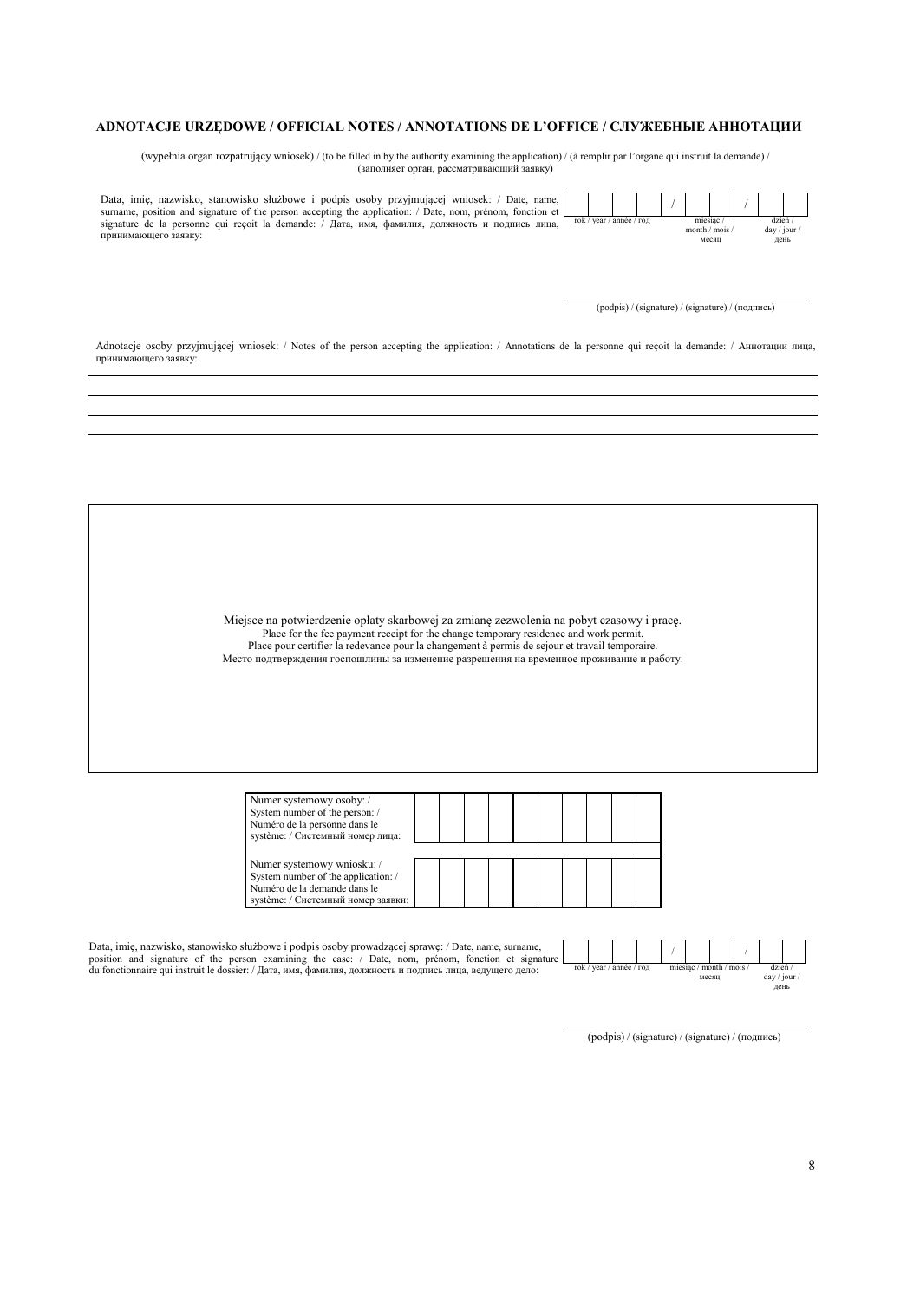#### **ADNOTACJE URZĘDOWE / OFFICIAL NOTES / ANNOTATIONS DE L'OFFICE / СЛУЖЕБНЫЕ АННОТАЦИИ**

(wypełnia organ rozpatrujący wniosek) / (to be filled in by the authority examining the application) / (à remplir par l'organe qui instruit la demande) / (заполняет орган, рассматривающий заявку)

Data, imię, nazwisko, stanowisko służbowe i podpis osoby przyjmującej wniosek: / Date, name, surname, position and signature of the person accepting the application: / Date, nom, prénom, fonction et signature de la personne qui reçoit la demande: / Дата, имя, фамилия, должность и подпись лица, принимающего заявку:

 / / rok / year / année / год miesiąc / month / mois / месяц dzień / day / jou день

(podpis) / (signature) / (signature) / (подпись)

Adnotacje osoby przyjmującej wniosek: / Notes of the person accepting the application: / Annotations de la personne qui reçoit la demande: / Аннотации лица, принимающего заявку:

> Miejsce na potwierdzenie opłaty skarbowej za zmianę zezwolenia na pobyt czasowy i pracę. Place for the fee payment receipt for the change temporary residence and work permit. Place pour certifier la redevance pour la changement à permis de sejour et travail temporaire. Место подтверждения госпошлины за изменение разрешения на временное проживание и работу.

| Numer systemowy osoby:/<br>System number of the person: /<br>Numéro de la personne dans le<br>système: / Системный номер лица:          |  |  |  |  |  |
|-----------------------------------------------------------------------------------------------------------------------------------------|--|--|--|--|--|
| Numer systemowy wniosku: /<br>System number of the application: /<br>Numéro de la demande dans le<br>système: / Системный номер заявки: |  |  |  |  |  |

Data, imię, nazwisko, stanowisko służbowe i podpis osoby prowadzącej sprawę: / Date, name, surname,<br>position and signature of the person examining the case: / Date, nom, prénom, fonction et signature<br>du fonctionnaire qui rok / year / année / год miesiąc / month / mois /

(podpis) / (signature) / (signature) / (подпись)

месяц

/ /

dzień / day / jour / день